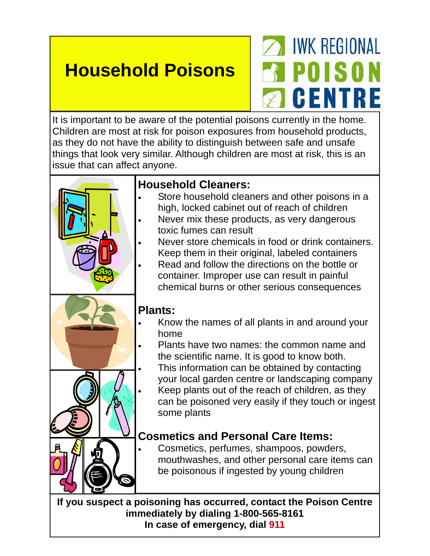## **Household Poisons**

## **NO IWK REGIONAL** 3 POISON **2 GENTRE**

It is important to be aware of the potential poisons currently in the home. Children are most at risk for poison exposures from household products, as they do not have the ability to distinguish between safe and unsafe things that look very similar. Although children are most at risk, this is an issue that can affect anyone.



- Store household cleaners and other poisons in a high, locked cabinet out of reach of children
- Never mix these products, as very dangerous toxic fumes can result
- Never store chemicals in food or drink containers. Keep them in their original, labeled containers
	- Read and follow the directions on the bottle or container. Improper use can result in painful chemical burns or other serious consequences

## **Plants:**

- Know the names of all plants in and around your home
- Plants have two names: the common name and the scientific name. It is good to know both.
- This information can be obtained by contacting your local garden centre or landscaping company Keep plants out of the reach of children, as they
- can be poisoned very easily if they touch or ingest some plants

## **Cosmetics and Personal Care Items:**

• Cosmetics, perfumes, shampoos, powders, mouthwashes, and other personal care items can be poisonous if ingested by young children

**If you suspect a poisoning has occurred, contact the Poison Centre immediately by dialing 1-800-565-8161 In case of emergency, dial 911**